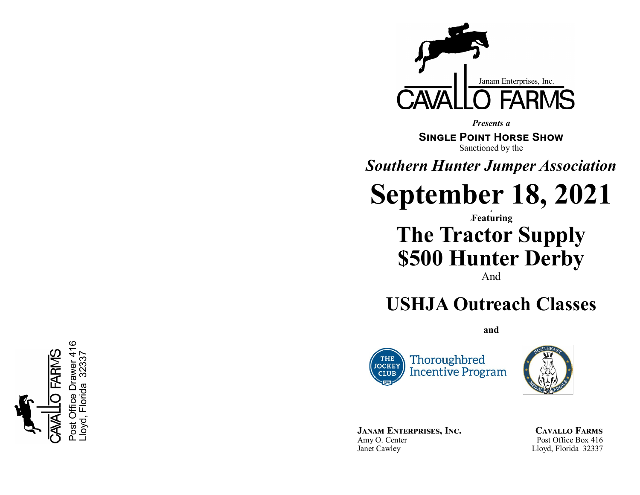

*Presents a*

**Single Point Horse Show** Sanctioned by the

*Southern Hunter Jumper Association*

**September 18, 2021**

## *J <sup>J</sup>***Featuring The Tractor Supply \$500 Hunter Derby**

And

## **USHJA Outreach Classes**

**and**





**Janam Enterprises, Inc.** Amy O. Center Janet Cawley

**Cavallo Farms** Post Office Box 416 Lloyd, Florida 32337

ဖ Post Office Drawer 416  $\mathcal{A}$ Lloyd, Florida 32337 32337 Drawer Florida <u>ල</u> loyd.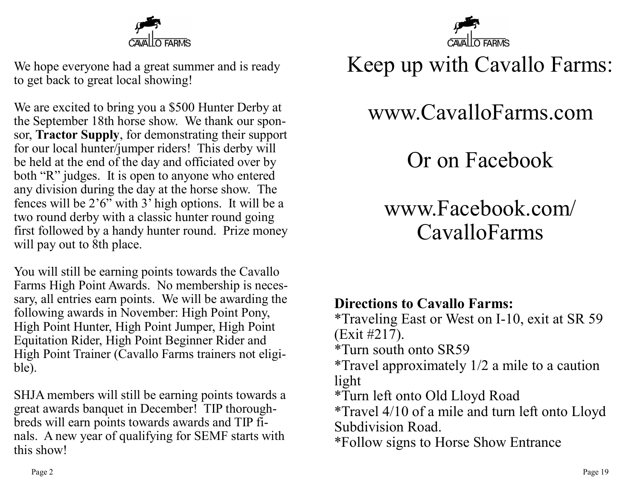

We hope everyone had a great summer and is ready to get back to great local showing!

We are excited to bring you a \$500 Hunter Derby at the September 18th horse show. We thank our sponsor, **Tractor Supply**, for demonstrating their support for our local hunter/jumper riders! This derby will be held at the end of the day and officiated over by both "R" judges. It is open to anyone who entered any division during the day at the horse show. The fences will be 2'6" with 3' high options. It will be a two round derby with a classic hunter round going first followed by a handy hunter round. Prize money will pay out to 8th place.

You will still be earning points towards the Cavallo Farms High Point Awards. No membership is necessary, all entries earn points. We will be awarding the following awards in November: High Point Pony, High Point Hunter, High Point Jumper, High Point Equitation Rider, High Point Beginner Rider and High Point Trainer (Cavallo Farms trainers not eligible).

SHJA members will still be earning points towards a great awards banquet in December! TIP thoroughbreds will earn points towards awards and TIP finals. A new year of qualifying for SEMF starts with this show!



# Keep up with Cavallo Farms:

# www.CavalloFarms.com

Or on Facebook

# www.Facebook.com/ CavalloFarms

### **Directions to Cavallo Farms:**

\*Traveling East or West on I-10, exit at SR 59 (Exit #217).

\*Turn south onto SR59

\*Travel approximately 1/2 a mile to a caution light

\*Turn left onto Old Lloyd Road

\*Travel 4/10 of a mile and turn left onto Lloyd Subdivision Road.

\*Follow signs to Horse Show Entrance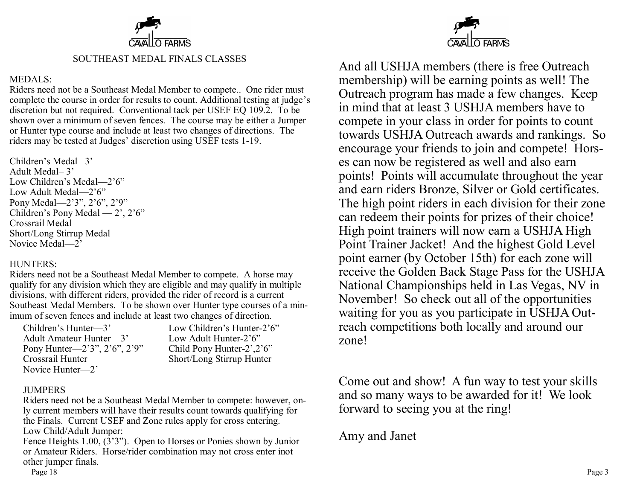

#### SOUTHEAST MEDAL FINALS CLASSES

#### MEDALS:

Riders need not be a Southeast Medal Member to compete.. One rider must complete the course in order for results to count. Additional testing at judge's discretion but not required. Conventional tack per USEF EQ 109.2. To be shown over a minimum of seven fences. The course may be either a Jumper or Hunter type course and include at least two changes of directions. The riders may be tested at Judges' discretion using USEF tests 1-19.

Children's Medal– 3' Adult Medal– 3' Low Children's Medal—2'6" Low Adult Medal—2'6" Pony Medal—2'3", 2'6", 2'9" Children's Pony Medal — 2', 2'6" Crossrail Medal Short/Long Stirrup Medal Novice Medal—2'

### HUNTERS:

Riders need not be a Southeast Medal Member to compete. A horse may qualify for any division which they are eligible and may qualify in multiple divisions, with different riders, provided the rider of record is a current Southeast Medal Members. To be shown over Hunter type courses of a minimum of seven fences and include at least two changes of direction.

| Children's Hunter-3'                     | Low Children's Hunter-2'6" |
|------------------------------------------|----------------------------|
| Adult Amateur Hunter-3'                  | Low Adult Hunter-2'6"      |
| Pony Hunter— $2'3''$ , $2'6''$ , $2'9''$ | Child Pony Hunter-2',2'6"  |
| Crossrail Hunter                         | Short/Long Stirrup Hunter  |
| Novice Hunter-2'                         |                            |

#### JUMPERS

Riders need not be a Southeast Medal Member to compete: however, only current members will have their results count towards qualifying for the Finals. Current USEF and Zone rules apply for cross entering. Low Child/Adult Jumper:

Fence Heights 1.00, (3'3"). Open to Horses or Ponies shown by Junior or Amateur Riders. Horse/rider combination may not cross enter inot other jumper finals.



And all USHJA members (there is free Outreach membership) will be earning points as well! The Outreach program has made a few changes. Keep in mind that at least 3 USHJA members have to compete in your class in order for points to count towards USHJA Outreach awards and rankings. So encourage your friends to join and compete! Horses can now be registered as well and also earn points! Points will accumulate throughout the year and earn riders Bronze, Silver or Gold certificates. The high point riders in each division for their zone can redeem their points for prizes of their choice! High point trainers will now earn a USHJA High Point Trainer Jacket! And the highest Gold Level point earner (by October 15th) for each zone will receive the Golden Back Stage Pass for the USHJA National Championships held in Las Vegas, NV in November! So check out all of the opportunities waiting for you as you participate in USHJA Outreach competitions both locally and around our zone!

Come out and show! A fun way to test your skills and so many ways to be awarded for it! We look forward to seeing you at the ring!

Amy and Janet

Page 18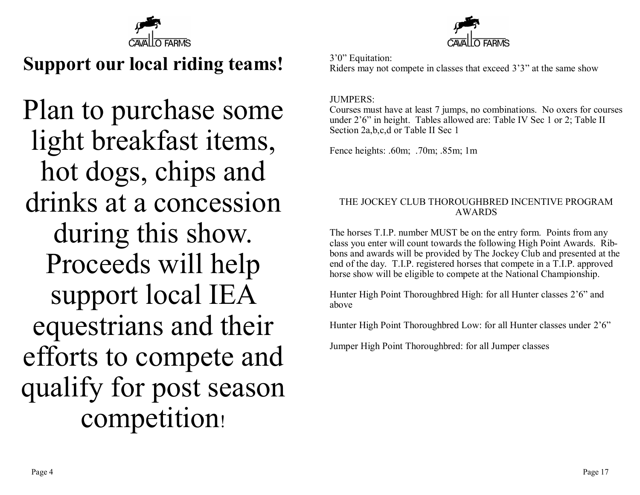

## **Support our local riding teams!**

Plan to purchase some light breakfast items, hot dogs, chips and drinks at a concession during this show. Proceeds will help support local IEA equestrians and their efforts to compete and qualify for post season competition!



3'0" Equitation: Riders may not compete in classes that exceed 3'3" at the same show

#### JUMPERS:

Courses must have at least 7 jumps, no combinations. No oxers for courses under 2'6" in height. Tables allowed are: Table IV Sec 1 or 2; Table II Section 2a,b,c,d or Table II Sec 1

Fence heights: .60m; .70m; .85m; 1m

### THE JOCKEY CLUB THOROUGHBRED INCENTIVE PROGRAM AWARDS

The horses T.I.P. number MUST be on the entry form. Points from any class you enter will count towards the following High Point Awards. Ribbons and awards will be provided by The Jockey Club and presented at the end of the day. T.I.P. registered horses that compete in a T.I.P. approved horse show will be eligible to compete at the National Championship.

Hunter High Point Thoroughbred High: for all Hunter classes 2'6" and above

Hunter High Point Thoroughbred Low: for all Hunter classes under 2'6"

Jumper High Point Thoroughbred: for all Jumper classes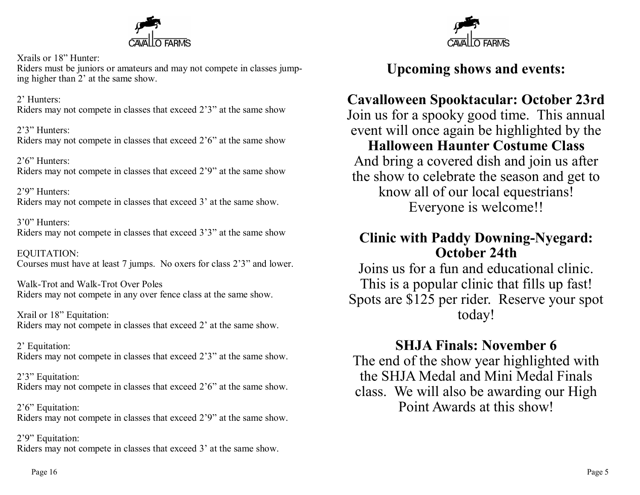

Xrails or 18" Hunter: Riders must be juniors or amateurs and may not compete in classes jumping higher than 2' at the same show.

2' Hunters: Riders may not compete in classes that exceed 2'3" at the same show

2'3" Hunters: Riders may not compete in classes that exceed 2'6" at the same show

2'6" Hunters: Riders may not compete in classes that exceed 2'9" at the same show

2'9" Hunters: Riders may not compete in classes that exceed 3' at the same show.

3'0" Hunters: Riders may not compete in classes that exceed 3'3" at the same show

EQUITATION: Courses must have at least 7 jumps. No oxers for class 2'3" and lower.

Walk-Trot and Walk-Trot Over Poles Riders may not compete in any over fence class at the same show.

Xrail or 18" Equitation: Riders may not compete in classes that exceed 2' at the same show.

2' Equitation: Riders may not compete in classes that exceed 2'3" at the same show.

2'3" Equitation: Riders may not compete in classes that exceed 2'6" at the same show.

2'6" Equitation: Riders may not compete in classes that exceed 2'9" at the same show.

2'9" Equitation: Riders may not compete in classes that exceed 3' at the same show.



### **Upcoming shows and events:**

### **Cavalloween Spooktacular: October 23rd**

Join us for a spooky good time. This annual event will once again be highlighted by the **Halloween Haunter Costume Class** And bring a covered dish and join us after the show to celebrate the season and get to know all of our local equestrians! Everyone is welcome!!

### **Clinic with Paddy Downing-Nyegard: October 24th**

Joins us for a fun and educational clinic. This is a popular clinic that fills up fast! Spots are \$125 per rider. Reserve your spot today!

**SHJA Finals: November 6**

The end of the show year highlighted with the SHJA Medal and Mini Medal Finals class. We will also be awarding our High Point Awards at this show!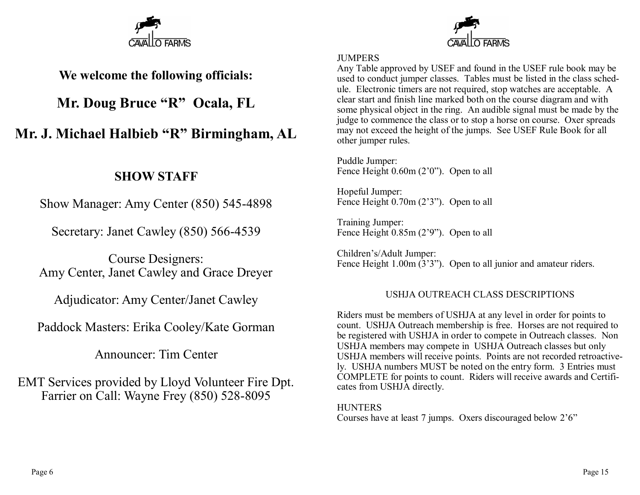

### **We welcome the following officials:**

### **Mr. Doug Bruce "R" Ocala, FL**

### **Mr. J. Michael Halbieb "R" Birmingham, AL**

### **SHOW STAFF**

Show Manager: Amy Center (850) 545-4898

Secretary: Janet Cawley (850) 566-4539

Course Designers: Amy Center, Janet Cawley and Grace Dreyer

Adjudicator: Amy Center/Janet Cawley

Paddock Masters: Erika Cooley/Kate Gorman

Announcer: Tim Center

EMT Services provided by Lloyd Volunteer Fire Dpt. Farrier on Call: Wayne Frey (850) 528-8095

### **JUMPERS**

Any Table approved by USEF and found in the USEF rule book may be used to conduct jumper classes. Tables must be listed in the class schedule. Electronic timers are not required, stop watches are acceptable. A clear start and finish line marked both on the course diagram and with some physical object in the ring. An audible signal must be made by the judge to commence the class or to stop a horse on course. Oxer spreads may not exceed the height of the jumps. See USEF Rule Book for all other jumper rules.

Puddle Jumper: Fence Height 0.60m (2'0"). Open to all

Hopeful Jumper: Fence Height 0.70m (2'3"). Open to all

Training Jumper: Fence Height 0.85m (2'9"). Open to all

Children's/Adult Jumper: Fence Height 1.00m (3'3"). Open to all junior and amateur riders.

### USHJA OUTREACH CLASS DESCRIPTIONS

Riders must be members of USHJA at any level in order for points to count. USHJA Outreach membership is free. Horses are not required to be registered with USHJA in order to compete in Outreach classes. Non USHJA members may compete in USHJA Outreach classes but only USHJA members will receive points. Points are not recorded retroactively. USHJA numbers MUST be noted on the entry form. 3 Entries must COMPLETE for points to count. Riders will receive awards and Certificates from USHJA directly.

**HUNTERS** Courses have at least 7 jumps. Oxers discouraged below 2'6"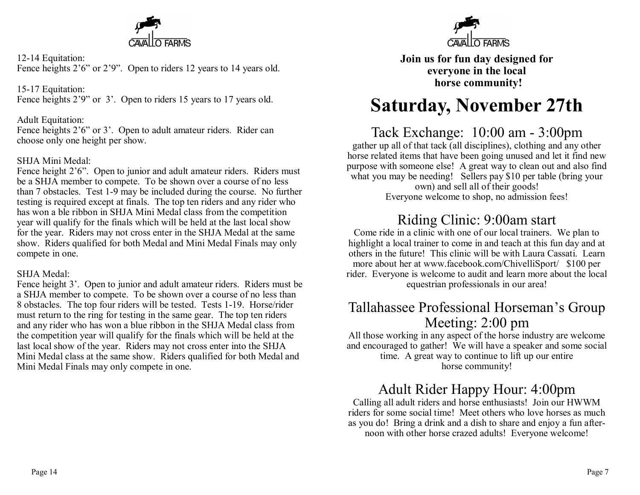

12-14 Equitation: Fence heights 2'6" or 2'9". Open to riders 12 years to 14 years old.

15-17 Equitation: Fence heights 2'9" or 3'. Open to riders 15 years to 17 years old.

### Adult Equitation:

Fence heights 2'6" or 3'. Open to adult amateur riders. Rider can choose only one height per show.

### SHJA Mini Medal:

Fence height 2'6". Open to junior and adult amateur riders. Riders must be a SHJA member to compete. To be shown over a course of no less than 7 obstacles. Test 1-9 may be included during the course. No further testing is required except at finals. The top ten riders and any rider who has won a ble ribbon in SHJA Mini Medal class from the competition year will qualify for the finals which will be held at the last local show for the year. Riders may not cross enter in the SHJA Medal at the same show. Riders qualified for both Medal and Mini Medal Finals may only compete in one.

### SHJA Medal:

Fence height 3'. Open to junior and adult amateur riders. Riders must be a SHJA member to compete. To be shown over a course of no less than 8 obstacles. The top four riders will be tested. Tests 1-19. Horse/rider must return to the ring for testing in the same gear. The top ten riders and any rider who has won a blue ribbon in the SHJA Medal class from the competition year will qualify for the finals which will be held at the last local show of the year. Riders may not cross enter into the SHJA Mini Medal class at the same show. Riders qualified for both Medal and Mini Medal Finals may only compete in one.



**Join us for fun day designed for everyone in the local horse community!**

## **Saturday, November 27th**

### Tack Exchange: 10:00 am - 3:00pm

gather up all of that tack (all disciplines), clothing and any other horse related items that have been going unused and let it find new purpose with someone else! A great way to clean out and also find what you may be needing! Sellers pay \$10 per table (bring your own) and sell all of their goods!

Everyone welcome to shop, no admission fees!

### Riding Clinic: 9:00am start

Come ride in a clinic with one of our local trainers. We plan to highlight a local trainer to come in and teach at this fun day and at others in the future! This clinic will be with Laura Cassati. Learn more about her at www.facebook.com/ChivelliSport/ \$100 per rider. Everyone is welcome to audit and learn more about the local equestrian professionals in our area!

### Tallahassee Professional Horseman's Group Meeting: 2:00 pm

All those working in any aspect of the horse industry are welcome and encouraged to gather! We will have a speaker and some social time. A great way to continue to lift up our entire horse community!

### Adult Rider Happy Hour: 4:00pm

Calling all adult riders and horse enthusiasts! Join our HWWM riders for some social time! Meet others who love horses as much as you do! Bring a drink and a dish to share and enjoy a fun afternoon with other horse crazed adults! Everyone welcome!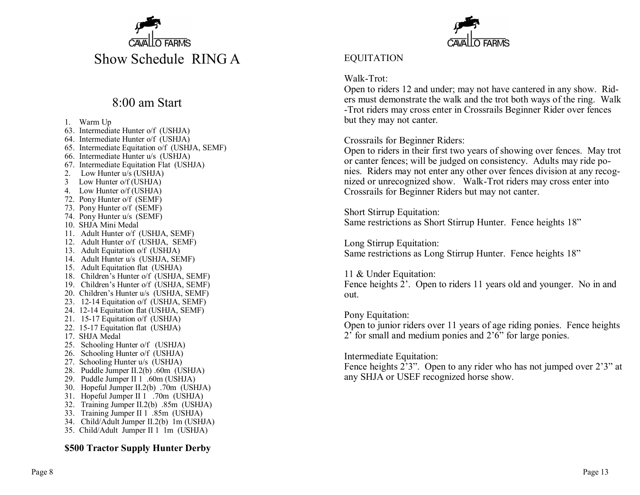

### 8:00 am Start

1. Warm Up 63. Intermediate Hunter o/f (USHJA) 64. Intermediate Hunter o/f (USHJA) 65. Intermediate Equitation o/f (USHJA, SEMF) 66. Intermediate Hunter u/s (USHJA) 67. Intermediate Equitation Flat (USHJA) 2. Low Hunter u/s (USHJA) 3 Low Hunter o/f (USHJA) 4. Low Hunter o/f (USHJA) 72. Pony Hunter o/f (SEMF) 73. Pony Hunter o/f (SEMF) 74. Pony Hunter u/s (SEMF) 10. SHJA Mini Medal 11. Adult Hunter o/f (USHJA, SEMF) 12. Adult Hunter o/f (USHJA, SEMF) 13. Adult Equitation o/f (USHJA) 14. Adult Hunter u/s (USHJA, SEMF) 15. Adult Equitation flat (USHJA) 18. Children's Hunter o/f (USHJA, SEMF) 19. Children's Hunter o/f (USHJA, SEMF) 20. Children's Hunter u/s (USHJA, SEMF) 23. 12-14 Equitation o/f (USHJA, SEMF) 24. 12-14 Equitation flat (USHJA, SEMF) 21. 15-17 Equitation o/f (USHJA) 22. 15-17 Equitation flat (USHJA) 17. SHJA Medal 25. Schooling Hunter o/f (USHJA) 26. Schooling Hunter o/f (USHJA) 27. Schooling Hunter u/s (USHJA) 28. Puddle Jumper II.2(b) .60m (USHJA) 29. Puddle Jumper II 1 .60m (USHJA) 30. Hopeful Jumper II.2(b) .70m (USHJA) 31. Hopeful Jumper II 1 .70m (USHJA) 32. Training Jumper II.2(b) .85m (USHJA) 33. Training Jumper II 1 .85m (USHJA) 34. Child/Adult Jumper II.2(b) 1m (USHJA) 35. Child/Adult Jumper II 1 1m (USHJA)

#### **\$500 Tractor Supply Hunter Derby**



### EQUITATION

### Walk-Trot:

Open to riders 12 and under; may not have cantered in any show. Riders must demonstrate the walk and the trot both ways of the ring. Walk -Trot riders may cross enter in Crossrails Beginner Rider over fences but they may not canter.

#### Crossrails for Beginner Riders:

Open to riders in their first two years of showing over fences. May trot or canter fences; will be judged on consistency. Adults may ride ponies. Riders may not enter any other over fences division at any recognized or unrecognized show. Walk-Trot riders may cross enter into Crossrails for Beginner Riders but may not canter.

Short Stirrup Equitation: Same restrictions as Short Stirrup Hunter. Fence heights 18"

Long Stirrup Equitation: Same restrictions as Long Stirrup Hunter. Fence heights 18"

#### 11 & Under Equitation:

Fence heights 2'. Open to riders 11 years old and younger. No in and out.

#### Pony Equitation:

Open to junior riders over 11 years of age riding ponies. Fence heights 2' for small and medium ponies and 2'6" for large ponies.

#### Intermediate Equitation:

Fence heights 2'3". Open to any rider who has not jumped over 2'3" at any SHJA or USEF recognized horse show.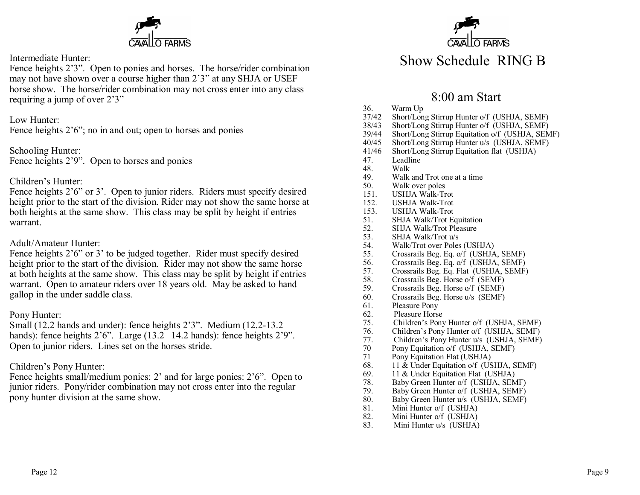

#### Intermediate Hunter:

Fence heights 2'3". Open to ponies and horses. The horse/rider combination may not have shown over a course higher than 2'3" at any SHJA or USEF horse show. The horse/rider combination may not cross enter into any class requiring a jump of over 2'3"

Low Hunter:

Fence heights  $2'6''$ ; no in and out; open to horses and ponies

Schooling Hunter: Fence heights 2'9". Open to horses and ponies

### Children's Hunter:

Fence heights 2'6" or 3'. Open to junior riders. Riders must specify desired height prior to the start of the division. Rider may not show the same horse at both heights at the same show. This class may be split by height if entries warrant.

#### Adult/Amateur Hunter:

Fence heights 2'6" or 3' to be judged together. Rider must specify desired height prior to the start of the division. Rider may not show the same horse at both heights at the same show. This class may be split by height if entries warrant. Open to amateur riders over 18 years old. May be asked to hand gallop in the under saddle class.

#### Pony Hunter:

Small (12.2 hands and under): fence heights 2'3". Medium (12.2-13.2 hands): fence heights 2'6". Large (13.2 – 14.2 hands): fence heights 2'9". Open to junior riders. Lines set on the horses stride.

### Children's Pony Hunter:

Fence heights small/medium ponies: 2' and for large ponies: 2'6". Open to junior riders. Pony/rider combination may not cross enter into the regular pony hunter division at the same show.



### 8:00 am Start

- 36. Warm Up
- 37/42 Short/Long Stirrup Hunter o/f (USHJA, SEMF)
- 38/43 Short/Long Stirrup Hunter o/f (USHJA, SEMF)
- 39/44 Short/Long Stirrup Equitation o/f (USHJA, SEMF)
- 40/45 Short/Long Stirrup Hunter u/s (USHJA, SEMF)
- 41/46 Short/Long Stirrup Equitation flat (USHJA)
- 47. Leadline
- 48. Walk
- 49. Walk and Trot one at a time
- 50. Walk over poles
- 151. USHJA Walk-Trot
- 152. USHJA Walk-Trot
- 153. USHJA Walk-Trot
- 51. SHJA Walk/Trot Equitation
- 52. SHJA Walk/Trot Pleasure
- 53. SHJA Walk/Trot u/s
- 54. Walk/Trot over Poles (USHJA)
- 55. Crossrails Beg. Eq. o/f (USHJA, SEMF)
- 56. Crossrails Beg. Eq. o/f (USHJA, SEMF)
- 57. Crossrails Beg. Eq. Flat (USHJA, SEMF)
- 58. Crossrails Beg. Horse o/f (SEMF)
- 59. Crossrails Beg. Horse o/f (SEMF)
- 60. Crossrails Beg. Horse u/s (SEMF)
- 61. Pleasure Pony
- 62. Pleasure Horse
- 75. Children's Pony Hunter o/f (USHJA, SEMF)
- 76. Children's Pony Hunter o/f (USHJA, SEMF)
- 77. Children's Pony Hunter u/s (USHJA, SEMF)
- 70 Pony Equitation o/f (USHJA, SEMF)
- 71 Pony Equitation Flat (USHJA)
- 68. 11 & Under Equitation o/f (USHJA, SEMF)
- 69. 11 & Under Equitation Flat (USHJA)
- 78. Baby Green Hunter o/f (USHJA, SEMF)
- 79. Baby Green Hunter o/f (USHJA, SEMF)
- 80. Baby Green Hunter u/s (USHJA, SEMF)
- 81. Mini Hunter o/f (USHJA)
- 82. Mini Hunter o/f (USHJA)
- 83. Mini Hunter u/s (USHJA)